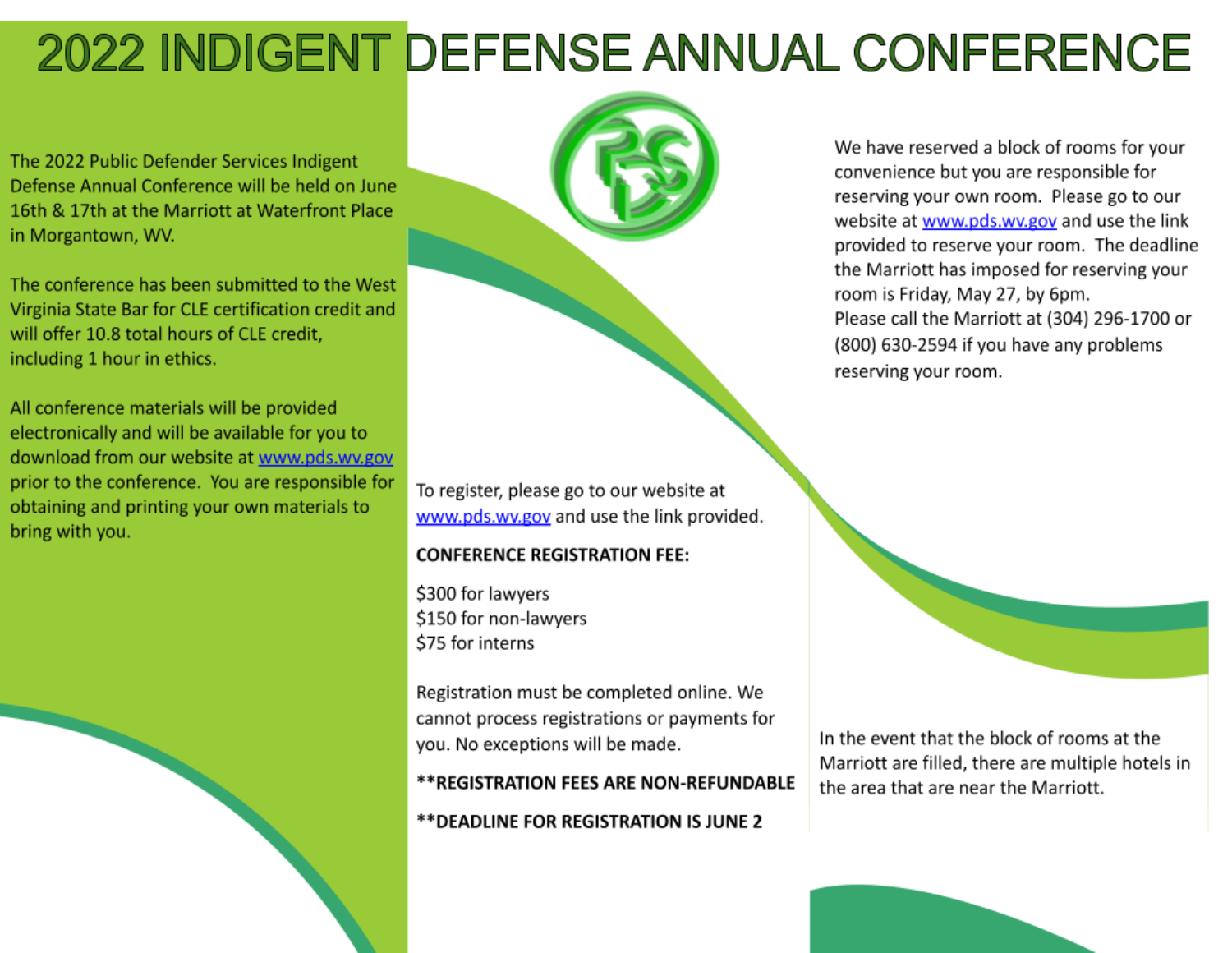# **2022 INDIGENT DEFENSE ANNUAL CONFERENCE**

The 2022 Public Defender Services Indigent Defense Annual Conference will be held on June 16th & 17th at the Marriott at Waterfront Place in Morgantown, WV.

The conference has been submitted to the West Virginia State Bar for CLE certification credit and will offer 10.8 total hours of CLE credit, including 1 hour in ethics.

All conference materials will be provided electronically and will be available for you to download from our website at www.pds.wv.gov prior to the conference. You are responsible for obtaining and printing your own materials to bring with you.



To register, please go to our website at www.pds.wv.gov and use the link provided.

# **CONFERENCE REGISTRATION FEE:**

\$300 for lawyers \$150 for non-lawyers \$75 for interns

Registration must be completed online. We cannot process registrations or payments for you. No exceptions will be made.

#### \*\*REGISTRATION FEES ARE NON-REFUNDABLE

\*\* DEADLINE FOR REGISTRATION IS JUNE 2

We have reserved a block of rooms for your convenience but you are responsible for reserving your own room. Please go to our website at www.pds.wv.gov and use the link provided to reserve your room. The deadline the Marriott has imposed for reserving your room is Friday, May 27, by 6pm. Please call the Marriott at (304) 296-1700 or (800) 630-2594 if you have any problems reserving your room.



In the event that the block of rooms at the Marriott are filled, there are multiple hotels in the area that are near the Marriott.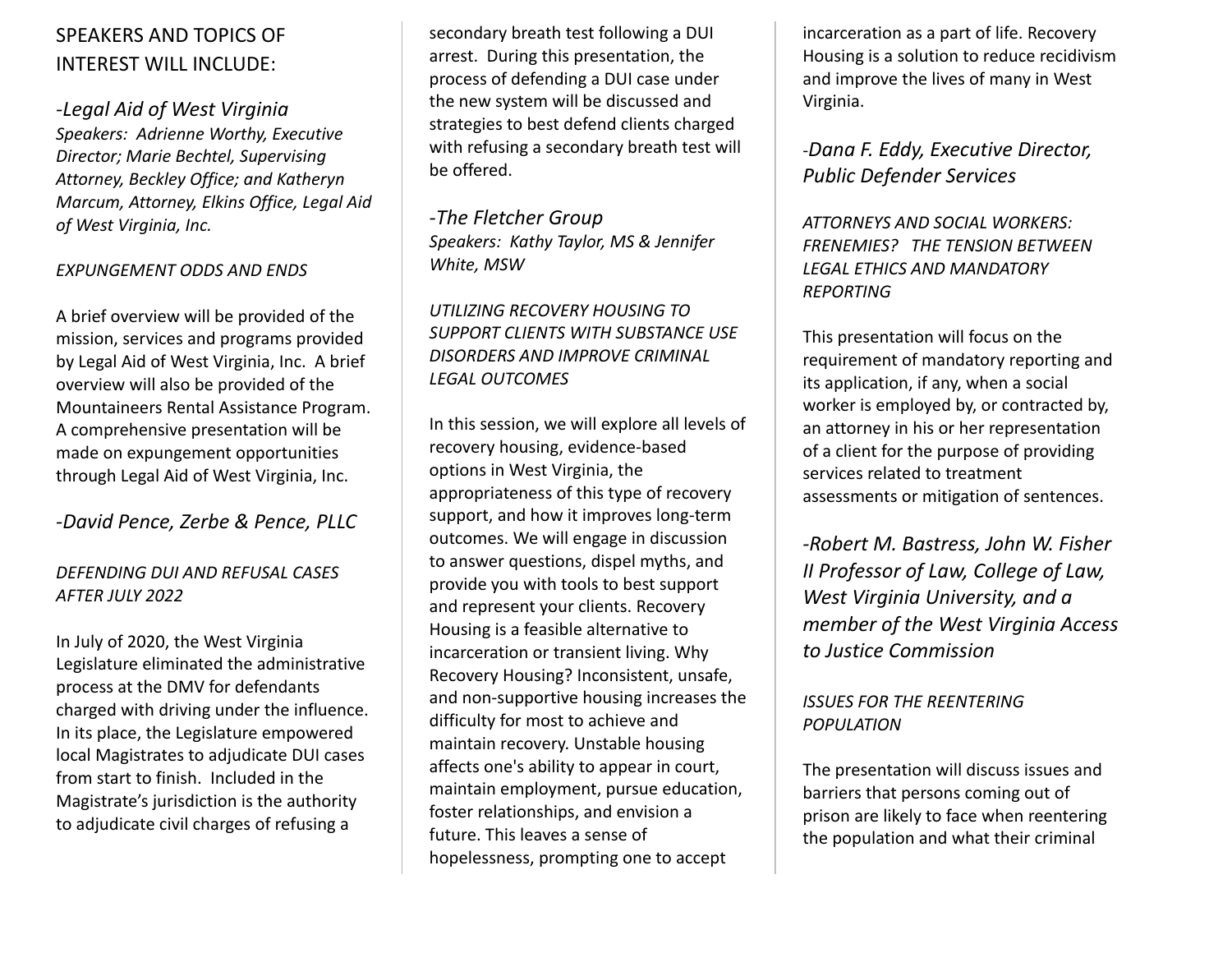# SPEAKERS AND TOPICS OF INTEREST WILL INCLUDE:

*-Legal Aid of West Virginia Speakers: Adrienne Worthy, Executive Director; Marie Bechtel, Supervising Attorney, Beckley Office; and Katheryn Marcum, Attorney, Elkins Office, Legal Aid of West Virginia, Inc.*

#### *EXPUNGEMENT ODDS AND ENDS*

A brief overview will be provided of the mission, services and programs provided by Legal Aid of West Virginia, Inc. A brief overview will also be provided of the Mountaineers Rental Assistance Program. A comprehensive presentation will be made on expungement opportunities through Legal Aid of West Virginia, Inc.

### *-David Pence, Zerbe & Pence, PLLC*

#### *DEFENDING DUI AND REFUSAL CASES AFTER JULY 2022*

In July of 2020, the West Virginia Legislature eliminated the administrative process at the DMV for defendants charged with driving under the influence. In its place, the Legislature empowered local Magistrates to adjudicate DUI cases from start to finish. Included in the Magistrate's jurisdiction is the authority to adjudicate civil charges of refusing a

secondary breath test following a DUI arrest. During this presentation, the process of defending a DUI case under the new system will be discussed and strategies to best defend clients charged with refusing a secondary breath test will be offered.

*-The Fletcher Group Speakers: Kathy Taylor, MS & Jennifer White, MSW*

#### *UTILIZING RECOVERY HOUSING TO SUPPORT CLIENTS WITH SUBSTANCE USE DISORDERS AND IMPROVE CRIMINAL LEGAL OUTCOMES*

In this session, we will explore all levels of recovery housing, evidence-based options in West Virginia, the appropriateness of this type of recovery support, and how it improves long-term outcomes. We will engage in discussion to answer questions, dispel myths, and provide you with tools to best support and represent your clients. Recovery Housing is a feasible alternative to incarceration or transient living. Why Recovery Housing? Inconsistent, unsafe, and non-supportive housing increases the difficulty for most to achieve and maintain recovery. Unstable housing affects one's ability to appear in court, maintain employment, pursue education, foster relationships, and envision a future. This leaves a sense of hopelessness, prompting one to accept

incarceration as a part of life. Recovery Housing is a solution to reduce recidivism and improve the lives of many in West Virginia.

## -*Dana F. Eddy, Executive Director, Public Defender Services*

*ATTORNEYS AND SOCIAL WORKERS: FRENEMIES? THE TENSION BETWEEN LEGAL ETHICS AND MANDATORY REPORTING*

This presentation will focus on the requirement of mandatory reporting and its application, if any, when a social worker is employed by, or contracted by, an attorney in his or her representation of a client for the purpose of providing services related to treatment assessments or mitigation of sentences.

*-Robert M. Bastress, John W. Fisher II Professor of Law, College of Law, West Virginia University, and a member of the West Virginia Access to Justice Commission*

#### *ISSUES FOR THE REENTERING POPULATION*

The presentation will discuss issues and barriers that persons coming out of prison are likely to face when reentering the population and what their criminal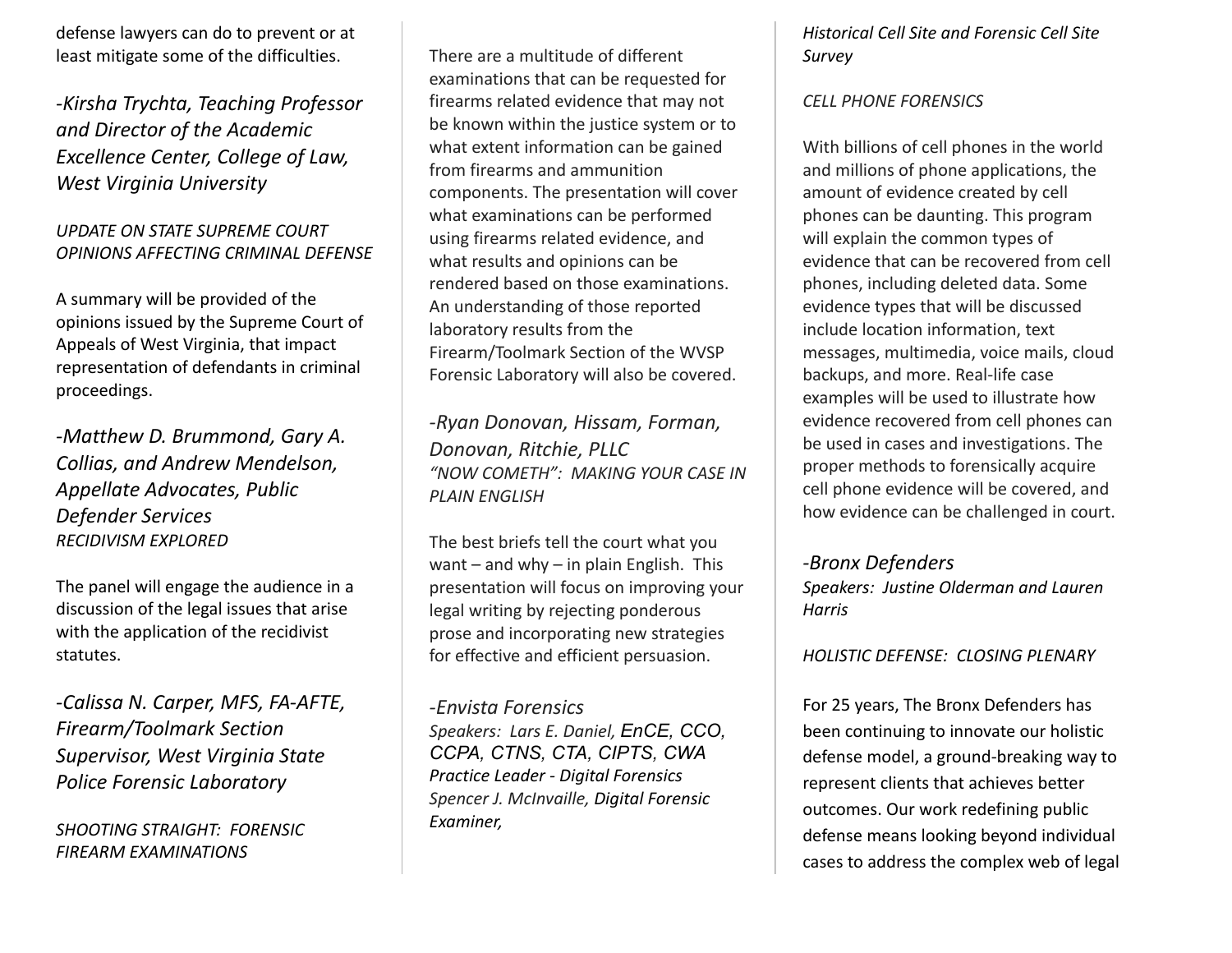defense lawyers can do to prevent or at least mitigate some of the difficulties.

*-Kirsha Trychta, Teaching Professor and Director of the Academic Excellence Center, College of Law, West Virginia University*

#### *UPDATE ON STATE SUPREME COURT OPINIONS AFFECTING CRIMINAL DEFENSE*

A summary will be provided of the opinions issued by the Supreme Court of Appeals of West Virginia, that impact representation of defendants in criminal proceedings.

*-Matthew D. Brummond, Gary A. Collias, and Andrew Mendelson, Appellate Advocates, Public Defender Services RECIDIVISM EXPLORED*

The panel will engage the audience in a discussion of the legal issues that arise with the application of the recidivist statutes.

*-Calissa N. Carper, MFS, FA-AFTE, Firearm/Toolmark Section Supervisor, West Virginia State Police Forensic Laboratory*

*SHOOTING STRAIGHT: FORENSIC FIREARM EXAMINATIONS*

There are a multitude of different examinations that can be requested for firearms related evidence that may not be known within the justice system or to what extent information can be gained from firearms and ammunition components. The presentation will cover what examinations can be performed using firearms related evidence, and what results and opinions can be rendered based on those examinations. An understanding of those reported laboratory results from the Firearm/Toolmark Section of the WVSP Forensic Laboratory will also be covered.

*-Ryan Donovan, Hissam, Forman, Donovan, Ritchie, PLLC "NOW COMETH": MAKING YOUR CASE IN PLAIN ENGLISH*

The best briefs tell the court what you want – and why – in plain English. This presentation will focus on improving your legal writing by rejecting ponderous prose and incorporating new strategies for effective and efficient persuasion.

#### *-Envista Forensics Speakers: Lars E. Daniel, EnCE, CCO, CCPA, CTNS, CTA, CIPTS, CWA Practice Leader - Digital Forensics Spencer J. McInvaille, Digital Forensic Examiner,*

#### *Historical Cell Site and Forensic Cell Site Survey*

#### *CELL PHONE FORENSICS*

With billions of cell phones in the world and millions of phone applications, the amount of evidence created by cell phones can be daunting. This program will explain the common types of evidence that can be recovered from cell phones, including deleted data. Some evidence types that will be discussed include location information, text messages, multimedia, voice mails, cloud backups, and more. Real-life case examples will be used to illustrate how evidence recovered from cell phones can be used in cases and investigations. The proper methods to forensically acquire cell phone evidence will be covered, and how evidence can be challenged in court.

#### *-Bronx Defenders*

*Speakers: Justine Olderman and Lauren Harris*

#### *HOLISTIC DEFENSE: CLOSING PLENARY*

For 25 years, The Bronx Defenders has been continuing to innovate our holistic defense model, a ground-breaking way to represent clients that achieves better outcomes. Our work redefining public defense means looking beyond individual cases to address the complex web of legal